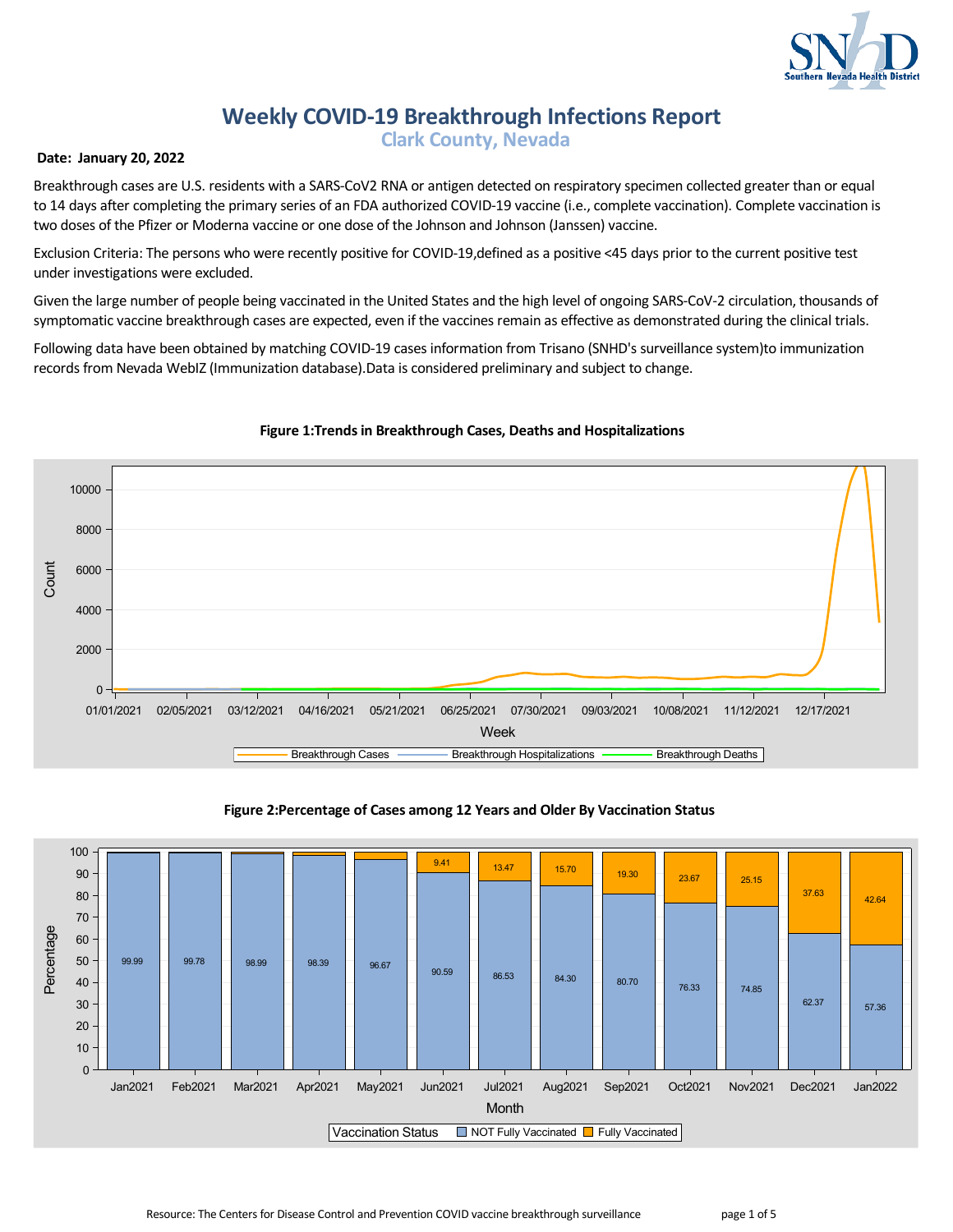

# **Weekly COVID-19 Breakthrough Infections Report**

 **Clark County, Nevada**

# **Date: January 20, 2022**

Breakthrough cases are U.S. residents with a SARS-CoV2 RNA or antigen detected on respiratory specimen collected greater than or equal to 14 days after completing the primary series of an FDA authorized COVID-19 vaccine (i.e., complete vaccination). Complete vaccination is two doses of the Pfizer or Moderna vaccine or one dose of the Johnson and Johnson (Janssen) vaccine.

Exclusion Criteria: The persons who were recently positive for COVID-19,defined as a positive <45 days prior to the current positive test under investigations were excluded.

Given the large number of people being vaccinated in the United States and the high level of ongoing SARS-CoV-2 circulation, thousands of symptomatic vaccine breakthrough cases are expected, even if the vaccines remain as effective as demonstrated during the clinical trials.

Following data have been obtained by matching COVID-19 cases information from Trisano (SNHD's surveillance system)to immunization records from Nevada WebIZ (Immunization database).Data is considered preliminary and subject to change.



# **Figure 1:Trends in Breakthrough Cases, Deaths and Hospitalizations**

#### **Figure 2:Percentage of Cases among 12 Years and Older By Vaccination Status**

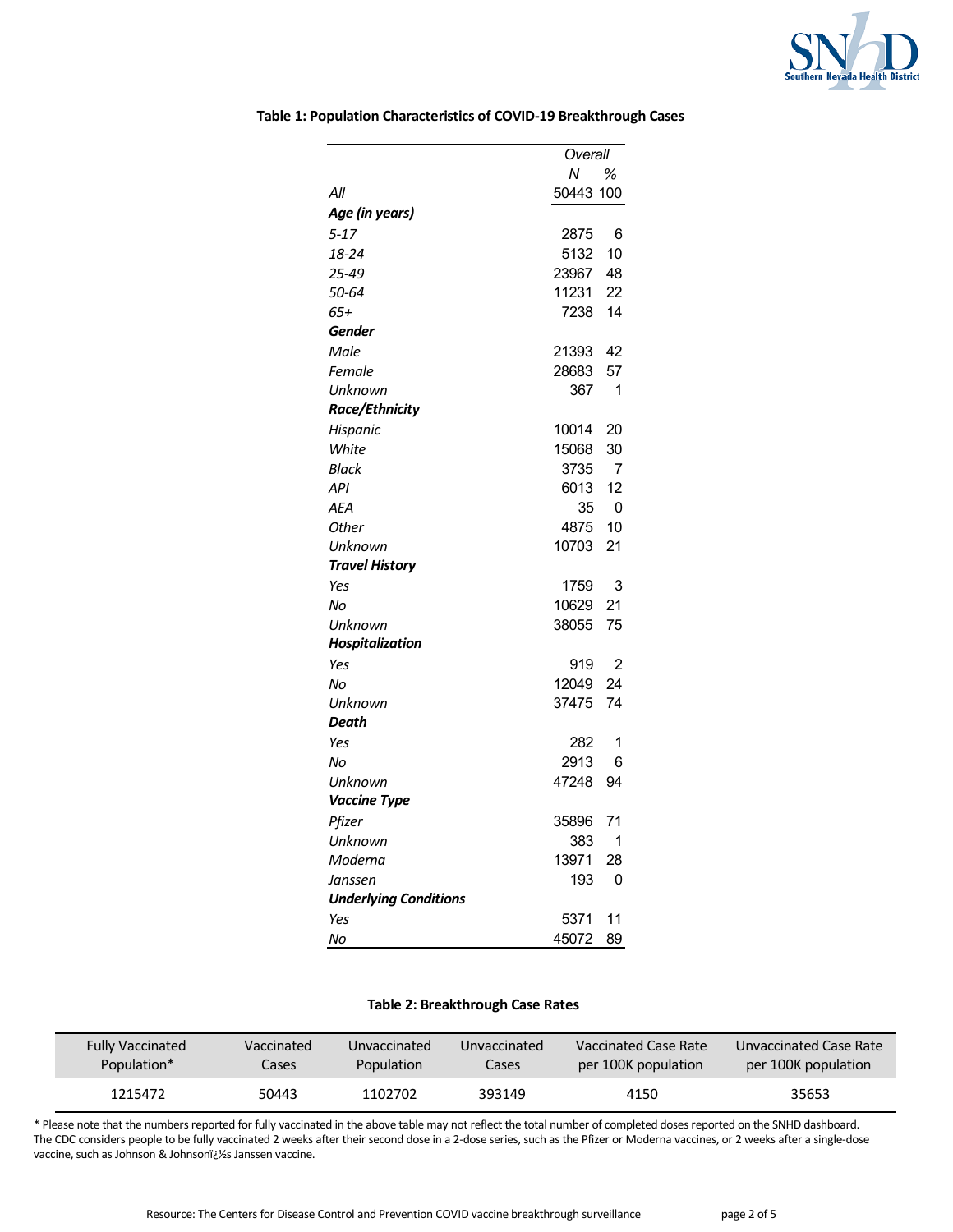

|                              | Overall   |    |
|------------------------------|-----------|----|
|                              | Ν         | ℅  |
| All                          | 50443 100 |    |
| Age (in years)               |           |    |
| $5 - 17$                     | 2875      | 6  |
| 18-24                        | 5132      | 10 |
| 25-49                        | 23967     | 48 |
| 50-64                        | 11231     | 22 |
| 65+                          | 7238      | 14 |
| Gender                       |           |    |
| Male                         | 21393     | 42 |
| Female                       | 28683     | 57 |
| Unknown                      | 367       | 1  |
| <b>Race/Ethnicity</b>        |           |    |
| Hispanic                     | 10014     | 20 |
| White                        | 15068     | 30 |
| <b>Black</b>                 | 3735      | 7  |
| API                          | 6013      | 12 |
| <b>AEA</b>                   | 35        | 0  |
| Other                        | 4875      | 10 |
| Unknown                      | 10703     | 21 |
| <b>Travel History</b>        |           |    |
| Yes                          | 1759      | 3  |
| No                           | 10629     | 21 |
| Unknown                      | 38055     | 75 |
| <b>Hospitalization</b>       |           |    |
| Yes                          | 919       | 2  |
| Nο                           | 12049     | 24 |
| Unknown                      | 37475     | 74 |
| Death                        |           |    |
| Yes                          | 282       | 1  |
| Nο                           | 2913      | 6  |
| Unknown                      | 47248     | 94 |
| Vaccine Type                 |           |    |
| Pfizer                       | 35896     | 71 |
| Unknown                      | 383       | 1  |
| Moderna                      | 13971     | 28 |
| Janssen                      | 193       | 0  |
| <b>Underlying Conditions</b> |           |    |
| Yes                          | 5371      | 11 |
| No                           | 45072     | 89 |

## **Table 1: Population Characteristics of COVID-19 Breakthrough Cases**

#### **Table 2: Breakthrough Case Rates**

| <b>Fully Vaccinated</b> | Vaccinated | Unvaccinated      | Unvaccinated | Vaccinated Case Rate | Unvaccinated Case Rate |
|-------------------------|------------|-------------------|--------------|----------------------|------------------------|
| Population*             | Cases      | <b>Population</b> | Cases        | per 100K population  | per 100K population    |
| 1215472                 | 50443      | 1102702           | 393149       | 4150                 |                        |

\* Please note that the numbers reported for fully vaccinated in the above table may not reflect the total number of completed doses reported on the SNHD dashboard. The CDC considers people to be fully vaccinated 2 weeks after their second dose in a 2-dose series, such as the Pfizer or Moderna vaccines, or 2 weeks after a single-dose vaccine, such as Johnson & Johnsoni¿1/2s Janssen vaccine.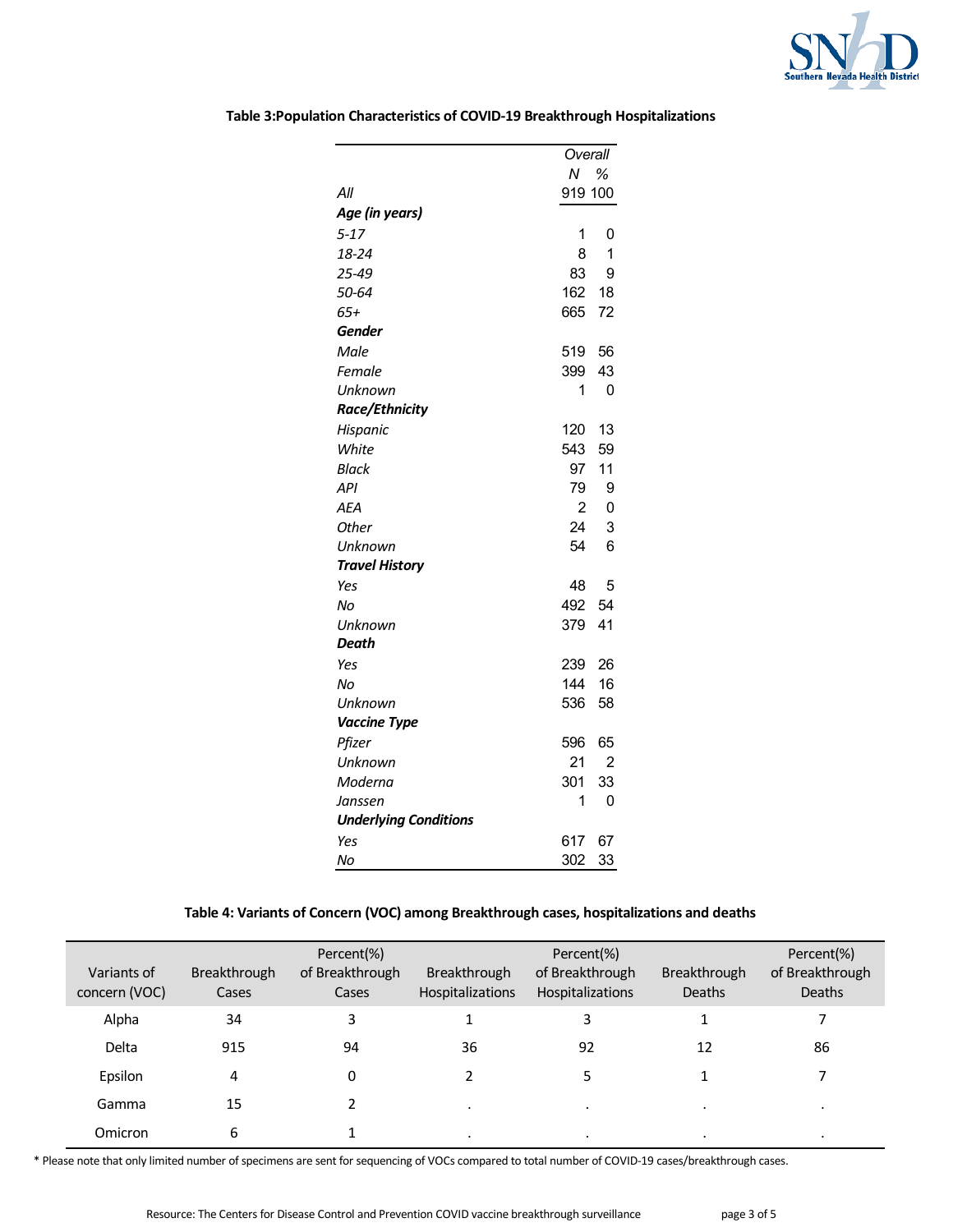

|                              |                | Overall        |  |
|------------------------------|----------------|----------------|--|
|                              | N.             | %              |  |
| All                          | 919 100        |                |  |
| Age (in years)               |                |                |  |
| $5 - 17$                     | 1              | 0              |  |
| 18-24                        | 8              | 1              |  |
| 25-49                        | 83             | 9              |  |
| 50-64                        | 162            | 18             |  |
| $65+$                        | 665            | 72             |  |
| Gender                       |                |                |  |
| Male                         | 519            | 56             |  |
| Female                       | 399            | 43             |  |
| Unknown                      | 1              | 0              |  |
| <b>Race/Ethnicity</b>        |                |                |  |
| Hispanic                     | 120            | 13             |  |
| White                        | 543            | 59             |  |
| <b>Black</b>                 | 97             | 11             |  |
| <b>API</b>                   | 79             | 9              |  |
| AEA                          | $\overline{2}$ | $\mathbf 0$    |  |
| <b>Other</b>                 | 24             | 3              |  |
| Unknown                      | 54             | 6              |  |
| <b>Travel History</b>        |                |                |  |
| Yes                          | 48             | 5              |  |
| No                           | 492            | 54             |  |
| Unknown                      | 379            | 41             |  |
| Death                        |                |                |  |
| Yes                          | 239            | 26             |  |
| No                           | 144            | 16             |  |
| Unknown                      | 536            | 58             |  |
| <b>Vaccine Type</b>          |                |                |  |
| Pfizer                       | 596            | 65             |  |
| Unknown                      | 21             | $\overline{2}$ |  |
| Moderna                      | 301            | 33             |  |
| Janssen                      | 1              | 0              |  |
| <b>Underlying Conditions</b> |                |                |  |
| Yes                          | 617            | 67             |  |
| No                           | 302            | 33             |  |

**Table 3:Population Characteristics of COVID-19 Breakthrough Hospitalizations**

# **Table 4: Variants of Concern (VOC) among Breakthrough cases, hospitalizations and deaths**

| Variants of<br>concern (VOC) | Breakthrough<br>Cases | Percent(%)<br>of Breakthrough<br>Cases | Breakthrough<br><b>Hospitalizations</b> | Percent(%)<br>of Breakthrough<br>Hospitalizations | <b>Breakthrough</b><br><b>Deaths</b> | Percent(%)<br>of Breakthrough<br><b>Deaths</b> |
|------------------------------|-----------------------|----------------------------------------|-----------------------------------------|---------------------------------------------------|--------------------------------------|------------------------------------------------|
| Alpha                        | 34                    | 3                                      |                                         | 3                                                 |                                      |                                                |
| Delta                        | 915                   | 94                                     | 36                                      | 92                                                | 12                                   | 86                                             |
| Epsilon                      | 4                     | 0                                      |                                         | 5                                                 |                                      |                                                |
| Gamma                        | 15                    |                                        |                                         | $\cdot$                                           | $\cdot$                              |                                                |
| Omicron                      | 6                     |                                        | $\cdot$                                 | $\cdot$                                           | ٠                                    |                                                |

\* Please note that only limited number of specimens are sent for sequencing of VOCs compared to total number of COVID-19 cases/breakthrough cases.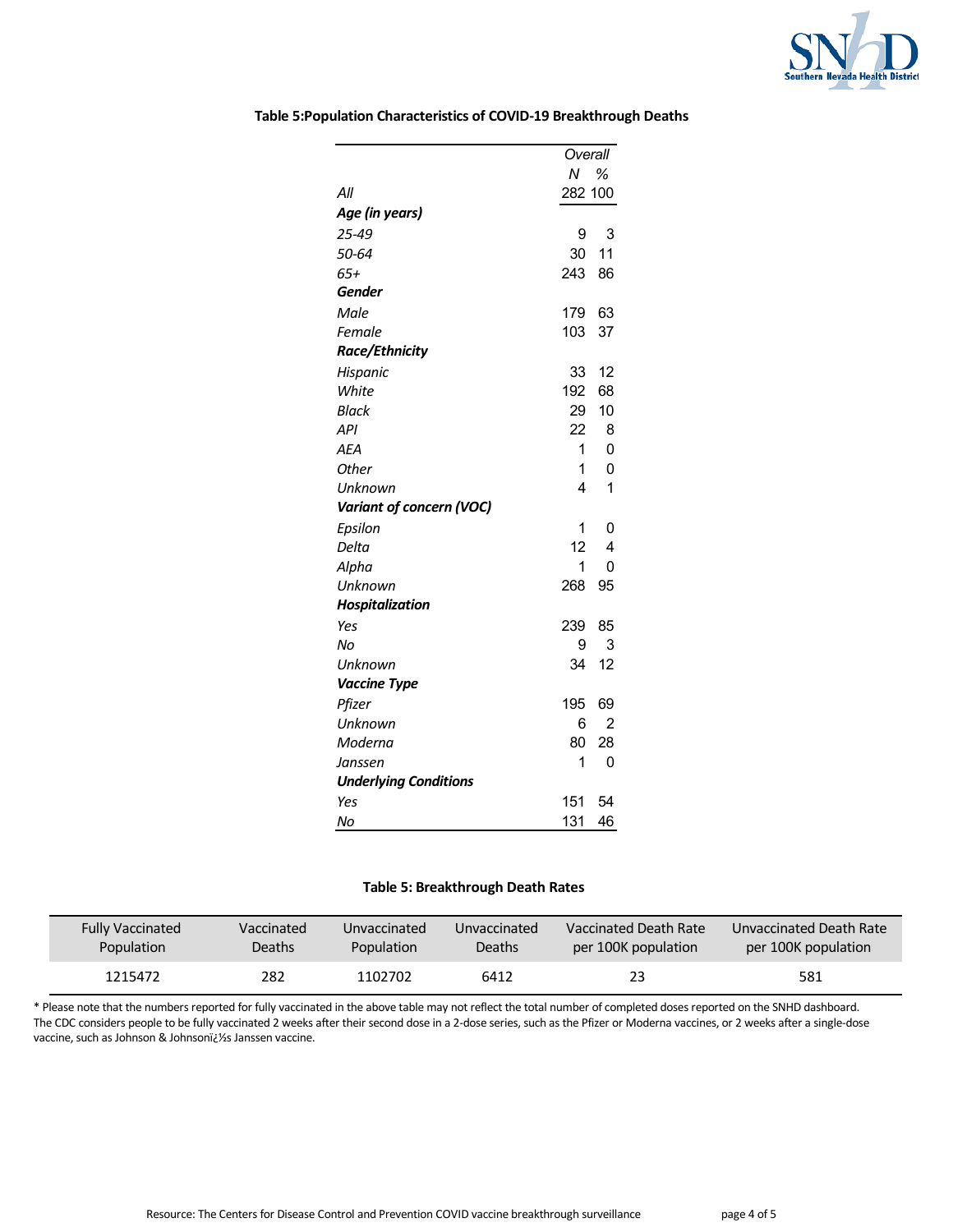

|                              | Overall         |                |
|------------------------------|-----------------|----------------|
|                              | N %             |                |
| All                          | 282 100         |                |
| Age (in years)               |                 |                |
| 25-49                        | 9               | 3              |
| 50-64                        | 30              | 11             |
| $65+$                        | 243             | 86             |
| Gender                       |                 |                |
| Male                         | 179             | 63             |
| Female                       | 103             | 37             |
| Race/Ethnicity               |                 |                |
| Hispanic                     | 33              | 12             |
| White                        | 192             | 68             |
| <b>Black</b>                 | 29              | 10             |
| API                          | 22              | 8              |
| AEA                          | 1               | 0              |
| Other                        | 1               | $\mathbf 0$    |
| Unknown                      | 4               | 1              |
| Variant of concern (VOC)     |                 |                |
| Epsilon                      | 1               | 0              |
| Delta                        | 12 <sup>2</sup> | 4              |
| Alpha                        | 1               | 0              |
| Unknown                      | 268             | 95             |
| <b>Hospitalization</b>       |                 |                |
| Yes                          | 239             | 85             |
| No                           | 9               | 3              |
| Unknown                      | 34              | 12             |
| <b>Vaccine Type</b>          |                 |                |
| Pfizer                       | 195             | 69             |
| Unknown                      | 6               | $\overline{2}$ |
| Moderna                      | 80              | 28             |
| Janssen                      | 1               | 0              |
| <b>Underlying Conditions</b> |                 |                |
| Yes                          | 151             | 54             |
| No                           | 131             | 46             |

## **Table 5:Population Characteristics of COVID-19 Breakthrough Deaths**

#### **Table 5: Breakthrough Death Rates**

| <b>Fully Vaccinated</b> | Vaccinated    | Unvaccinated | Unvaccinated | Vaccinated Death Rate | Unvaccinated Death Rate |
|-------------------------|---------------|--------------|--------------|-----------------------|-------------------------|
| Population              | <b>Deaths</b> | Population   | Deaths       | per 100K population   | per 100K population     |
| 1215472                 | 282           | 1102702      | 6412         | 23                    |                         |

\* Please note that the numbers reported for fully vaccinated in the above table may not reflect the total number of completed doses reported on the SNHD dashboard. The CDC considers people to be fully vaccinated 2 weeks after their second dose in a 2-dose series, such as the Pfizer or Moderna vaccines, or 2 weeks after a single-dose vaccine, such as Johnson & Johnsonï¿1/2s Janssen vaccine.